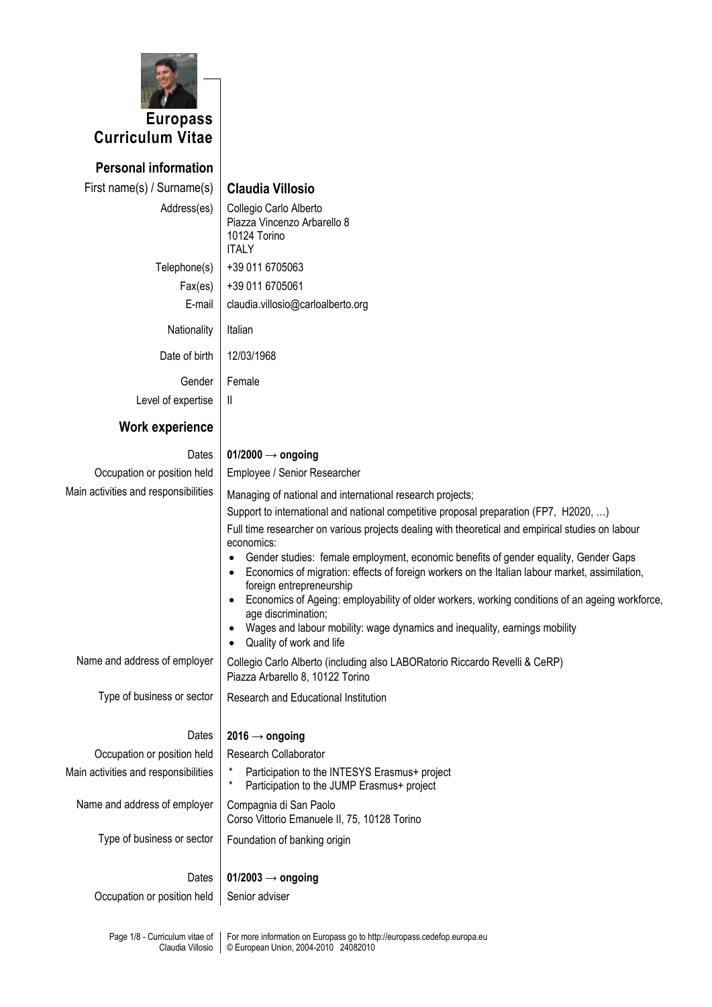

**Personal information** First name(s) / Surname(s) **Claudia Villosio** Address(es) | Collegio Carlo Alberto Piazza Vincenzo Arbarello 8 10124 Torino **ITALY** Telephone(s)  $+390116705063$ Fax(es) +39 011 6705061 E-mail claudia.villosio@carloalberto.org Nationality | Italian Date of birth | 12/03/1968 Gender Female Level of expertise  $\parallel$  II **Work experience** Dates **01/2000 → ongoing** Occupation or position held | Employee / Senior Researcher Main activities and responsibilities  $\parallel$  Managing of national and international research projects; Support to international and national competitive proposal preparation (FP7, H2020, …) Full time researcher on various projects dealing with theoretical and empirical studies on labour economics: Gender studies: female employment, economic benefits of gender equality, Gender Gaps Economics of migration: effects of foreign workers on the Italian labour market, assimilation, foreign entrepreneurship Economics of Ageing: employability of older workers, working conditions of an ageing workforce, age discrimination; Wages and labour mobility: wage dynamics and inequality, earnings mobility Quality of work and life Name and address of employer | Collegio Carlo Alberto (including also LABORatorio Riccardo Revelli & CeRP) Piazza Arbarello 8, 10122 Torino Type of business or sector  $\parallel$  Research and Educational Institution Dates **2016 → ongoing** Occupation or position held | Research Collaborator Main activities and responsibilities  $\begin{bmatrix} * &$  Participation to the INTESYS Erasmus+ project Participation to the JUMP Erasmus+ project Name and address of employer  $\vert$  Compagnia di San Paolo Corso Vittorio Emanuele II, 75, 10128 Torino Type of business or sector  $\vert$  Foundation of banking origin Dates **01/2003 → ongoing** Occupation or position held | Senior adviser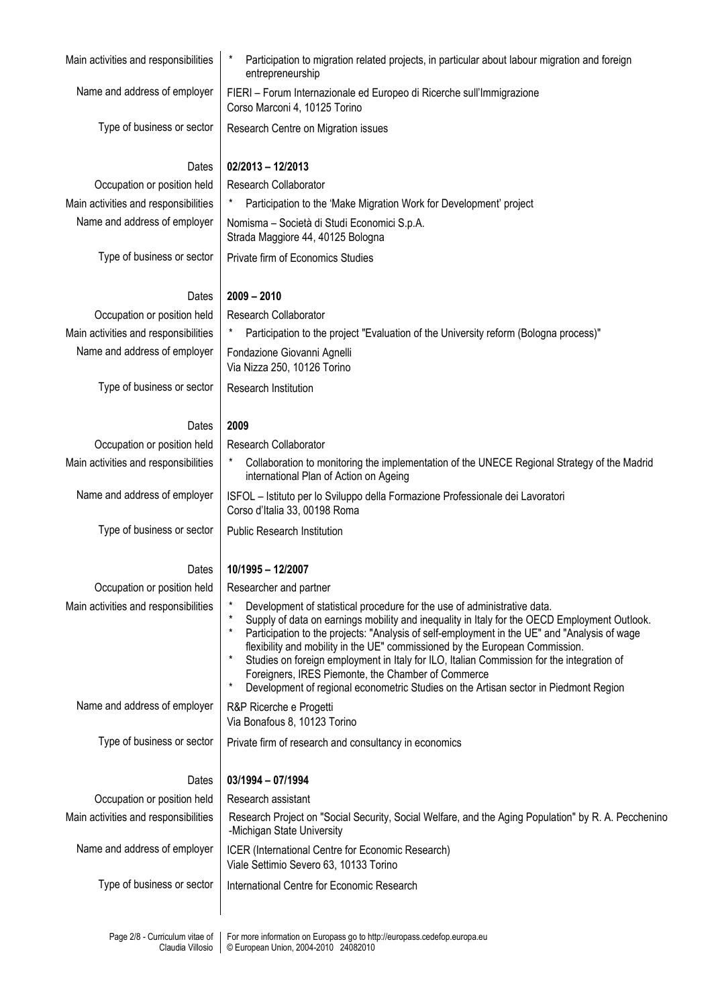| Main activities and responsibilities | Participation to migration related projects, in particular about labour migration and foreign<br>entrepreneurship                                                                                                                                                                                                                                                                                                                                                                                                                                                                                   |
|--------------------------------------|-----------------------------------------------------------------------------------------------------------------------------------------------------------------------------------------------------------------------------------------------------------------------------------------------------------------------------------------------------------------------------------------------------------------------------------------------------------------------------------------------------------------------------------------------------------------------------------------------------|
| Name and address of employer         | FIERI - Forum Internazionale ed Europeo di Ricerche sull'Immigrazione<br>Corso Marconi 4, 10125 Torino                                                                                                                                                                                                                                                                                                                                                                                                                                                                                              |
| Type of business or sector           | Research Centre on Migration issues                                                                                                                                                                                                                                                                                                                                                                                                                                                                                                                                                                 |
| Dates                                | $02/2013 - 12/2013$                                                                                                                                                                                                                                                                                                                                                                                                                                                                                                                                                                                 |
| Occupation or position held          | <b>Research Collaborator</b>                                                                                                                                                                                                                                                                                                                                                                                                                                                                                                                                                                        |
| Main activities and responsibilities | Participation to the 'Make Migration Work for Development' project                                                                                                                                                                                                                                                                                                                                                                                                                                                                                                                                  |
| Name and address of employer         | Nomisma - Società di Studi Economici S.p.A.<br>Strada Maggiore 44, 40125 Bologna                                                                                                                                                                                                                                                                                                                                                                                                                                                                                                                    |
| Type of business or sector           | Private firm of Economics Studies                                                                                                                                                                                                                                                                                                                                                                                                                                                                                                                                                                   |
| Dates                                | $2009 - 2010$                                                                                                                                                                                                                                                                                                                                                                                                                                                                                                                                                                                       |
| Occupation or position held          | Research Collaborator                                                                                                                                                                                                                                                                                                                                                                                                                                                                                                                                                                               |
| Main activities and responsibilities | Participation to the project "Evaluation of the University reform (Bologna process)"                                                                                                                                                                                                                                                                                                                                                                                                                                                                                                                |
| Name and address of employer         | Fondazione Giovanni Agnelli<br>Via Nizza 250, 10126 Torino                                                                                                                                                                                                                                                                                                                                                                                                                                                                                                                                          |
| Type of business or sector           | Research Institution                                                                                                                                                                                                                                                                                                                                                                                                                                                                                                                                                                                |
| Dates                                | 2009                                                                                                                                                                                                                                                                                                                                                                                                                                                                                                                                                                                                |
| Occupation or position held          | Research Collaborator                                                                                                                                                                                                                                                                                                                                                                                                                                                                                                                                                                               |
| Main activities and responsibilities | Collaboration to monitoring the implementation of the UNECE Regional Strategy of the Madrid<br>international Plan of Action on Ageing                                                                                                                                                                                                                                                                                                                                                                                                                                                               |
| Name and address of employer         | ISFOL - Istituto per lo Sviluppo della Formazione Professionale dei Lavoratori<br>Corso d'Italia 33, 00198 Roma                                                                                                                                                                                                                                                                                                                                                                                                                                                                                     |
| Type of business or sector           | <b>Public Research Institution</b>                                                                                                                                                                                                                                                                                                                                                                                                                                                                                                                                                                  |
| Dates                                | 10/1995 - 12/2007                                                                                                                                                                                                                                                                                                                                                                                                                                                                                                                                                                                   |
| Occupation or position held          | Researcher and partner                                                                                                                                                                                                                                                                                                                                                                                                                                                                                                                                                                              |
| Main activities and responsibilities | Development of statistical procedure for the use of administrative data.<br>Supply of data on earnings mobility and inequality in Italy for the OECD Employment Outlook.<br>Participation to the projects: "Analysis of self-employment in the UE" and "Analysis of wage<br>flexibility and mobility in the UE" commissioned by the European Commission.<br>Studies on foreign employment in Italy for ILO, Italian Commission for the integration of<br>Foreigners, IRES Piemonte, the Chamber of Commerce<br>Development of regional econometric Studies on the Artisan sector in Piedmont Region |
| Name and address of employer         | R&P Ricerche e Progetti<br>Via Bonafous 8, 10123 Torino                                                                                                                                                                                                                                                                                                                                                                                                                                                                                                                                             |
| Type of business or sector           | Private firm of research and consultancy in economics                                                                                                                                                                                                                                                                                                                                                                                                                                                                                                                                               |
| Dates                                | 03/1994 - 07/1994                                                                                                                                                                                                                                                                                                                                                                                                                                                                                                                                                                                   |
| Occupation or position held          | Research assistant                                                                                                                                                                                                                                                                                                                                                                                                                                                                                                                                                                                  |
| Main activities and responsibilities | Research Project on "Social Security, Social Welfare, and the Aging Population" by R. A. Pecchenino<br>-Michigan State University                                                                                                                                                                                                                                                                                                                                                                                                                                                                   |
| Name and address of employer         | ICER (International Centre for Economic Research)<br>Viale Settimio Severo 63, 10133 Torino                                                                                                                                                                                                                                                                                                                                                                                                                                                                                                         |
| Type of business or sector           | International Centre for Economic Research                                                                                                                                                                                                                                                                                                                                                                                                                                                                                                                                                          |
|                                      |                                                                                                                                                                                                                                                                                                                                                                                                                                                                                                                                                                                                     |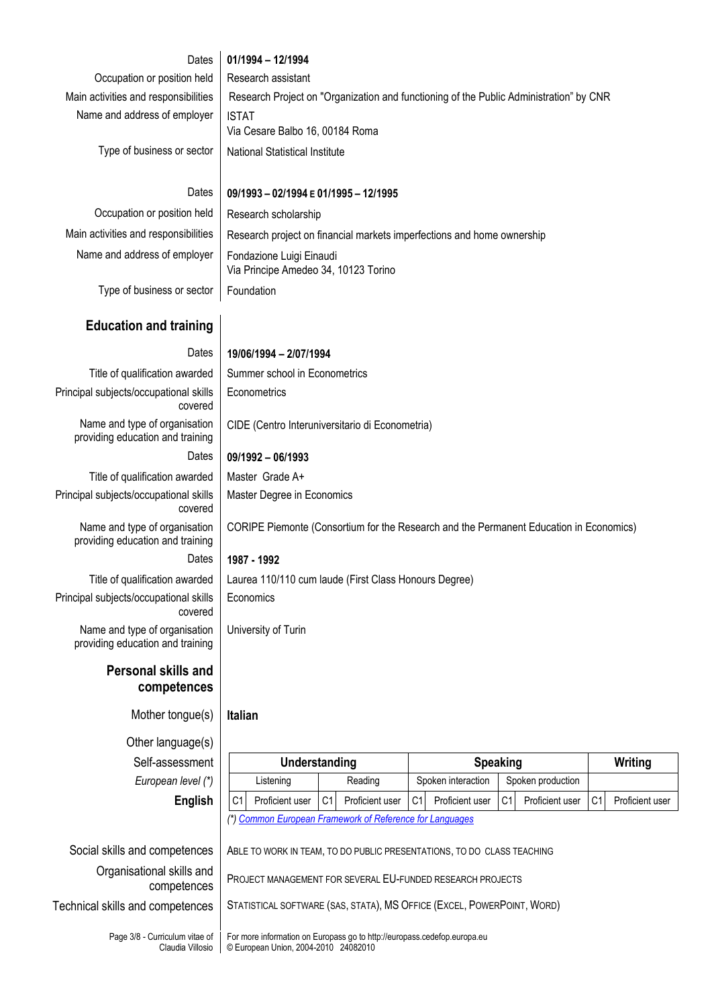# Dates **01/1994 – 12/1994**

Occupation or position held | Research assistant Name and address of employer | ISTAT

Main activities and responsibilities | Research Project on "Organization and functioning of the Public Administration" by CNR Via Cesare Balbo 16, 00184 Roma Type of business or sector  $\parallel$  National Statistical Institute

## Dates **09/1993 – 02/1994 E 01/1995 – 12/1995**

CIDE (Centro Interuniversitario di Econometria)

Occupation or position held | Research scholarship Name and address of employer  $\vert$  Fondazione Luigi Einaudi

Main activities and responsibilities | Research project on financial markets imperfections and home ownership Via Principe Amedeo 34, 10123 Torino

Type of business or sector | Foundation

# **Education and training**

# Dates **19/06/1994 – 2/07/1994**

Master Degree in Economics

**Econometrics** 

Economics

University of Turin

Title of qualification awarded  $\parallel$  Summer school in Econometrics Principal subjects/occupational skills covered

Name and type of organisation providing education and training Dates **09/1992 – 06/1993**

Title of qualification awarded | Master Grade A+ Principal subjects/occupational skills covered

Name and type of organisation providing education and training Dates **1987 - 1992**

Title of qualification awarded | Laurea 110/110 cum laude (First Class Honours Degree) Principal subjects/occupational skills covered Name and type of organisation providing education and training

# **Personal skills and competences**

Mother tongue(s) **Italian**

Other language(s)  $Self-assessment$ *European level (\*)* 

| inañcio)    |                                                          |                 |                |                 |                 |                    |    |                   |                |                 |
|-------------|----------------------------------------------------------|-----------------|----------------|-----------------|-----------------|--------------------|----|-------------------|----------------|-----------------|
| essment     | Understanding                                            |                 |                |                 | <b>Speaking</b> |                    |    | Writing           |                |                 |
| n level (*) |                                                          | Listening       |                | Reading         |                 | Spoken interaction |    | Spoken production |                |                 |
| English     | C <sub>1</sub>                                           | Proficient user | C <sub>1</sub> | Proficient user | C <sub>1</sub>  | Proficient user    | C1 | Proficient user   | C <sub>1</sub> | Proficient user |
|             | (*) Common European Framework of Reference for Languages |                 |                |                 |                 |                    |    |                   |                |                 |

CORIPE Piemonte (Consortium for the Research and the Permanent Education in Economics)

Organisational skills and

# Social skills and competences | ABLE TO WORK IN TEAM, TO DO PUBLIC PRESENTATIONS, TO DO CLASS TEACHING

competences <sup>P</sup>ROJECT MANAGEMENT FOR SEVERAL EU-FUNDED RESEARCH PROJECTS

Technical skills and competences | STATISTICAL SOFTWARE (SAS, STATA), MS OFFICE (EXCEL, POWERPOINT, WORD)

Page 3/8 - Curriculum vitae of Claudia Villosio

For more information on Europass go to http://europass.cedefop.europa.eu © European Union, 2004-2010 24082010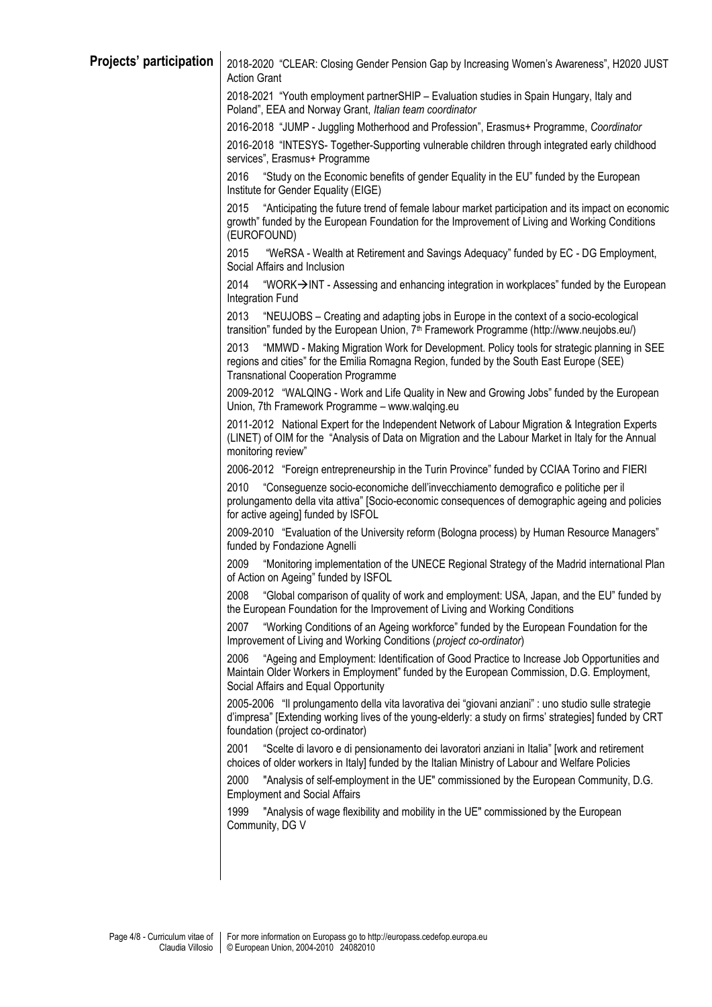| Projects' participation | 2018-2020 "CLEAR: Closing Gender Pension Gap by Increasing Women's Awareness", H2020 JUST<br><b>Action Grant</b>                                                                                                                                   |
|-------------------------|----------------------------------------------------------------------------------------------------------------------------------------------------------------------------------------------------------------------------------------------------|
|                         | 2018-2021 "Youth employment partnerSHIP - Evaluation studies in Spain Hungary, Italy and<br>Poland", EEA and Norway Grant, Italian team coordinator                                                                                                |
|                         | 2016-2018 "JUMP - Juggling Motherhood and Profession", Erasmus+ Programme, Coordinator                                                                                                                                                             |
|                         | 2016-2018 "INTESYS- Together-Supporting vulnerable children through integrated early childhood<br>services", Erasmus+ Programme                                                                                                                    |
|                         | 2016<br>"Study on the Economic benefits of gender Equality in the EU" funded by the European<br>Institute for Gender Equality (EIGE)                                                                                                               |
|                         | 2015<br>"Anticipating the future trend of female labour market participation and its impact on economic<br>growth" funded by the European Foundation for the Improvement of Living and Working Conditions<br>(EUROFOUND)                           |
|                         | 2015<br>"WeRSA - Wealth at Retirement and Savings Adequacy" funded by EC - DG Employment,<br>Social Affairs and Inclusion                                                                                                                          |
|                         | 2014<br>"WORK→INT - Assessing and enhancing integration in workplaces" funded by the European<br>Integration Fund                                                                                                                                  |
|                         | 2013<br>"NEUJOBS - Creating and adapting jobs in Europe in the context of a socio-ecological<br>transition" funded by the European Union, 7 <sup>th</sup> Framework Programme (http://www.neujobs.eu/)                                             |
|                         | "MMWD - Making Migration Work for Development. Policy tools for strategic planning in SEE<br>2013<br>regions and cities" for the Emilia Romagna Region, funded by the South East Europe (SEE)<br><b>Transnational Cooperation Programme</b>        |
|                         | 2009-2012 "WALQING - Work and Life Quality in New and Growing Jobs" funded by the European<br>Union, 7th Framework Programme - www.walqing.eu                                                                                                      |
|                         | 2011-2012 National Expert for the Independent Network of Labour Migration & Integration Experts<br>(LINET) of OIM for the "Analysis of Data on Migration and the Labour Market in Italy for the Annual<br>monitoring review"                       |
|                         | 2006-2012 "Foreign entrepreneurship in the Turin Province" funded by CCIAA Torino and FIERI                                                                                                                                                        |
|                         | 2010<br>"Conseguenze socio-economiche dell'invecchiamento demografico e politiche per il<br>prolungamento della vita attiva" [Socio-economic consequences of demographic ageing and policies<br>for active ageing] funded by ISFOL                 |
|                         | 2009-2010 "Evaluation of the University reform (Bologna process) by Human Resource Managers"<br>funded by Fondazione Agnelli                                                                                                                       |
|                         | "Monitoring implementation of the UNECE Regional Strategy of the Madrid international Plan<br>2009<br>of Action on Ageing" funded by ISFOL                                                                                                         |
|                         | "Global comparison of quality of work and employment: USA, Japan, and the EU" funded by<br>2008<br>the European Foundation for the Improvement of Living and Working Conditions                                                                    |
|                         | 2007<br>"Working Conditions of an Ageing workforce" funded by the European Foundation for the<br>Improvement of Living and Working Conditions (project co-ordinator)                                                                               |
|                         | 2006<br>"Ageing and Employment: Identification of Good Practice to Increase Job Opportunities and<br>Maintain Older Workers in Employment" funded by the European Commission, D.G. Employment,<br>Social Affairs and Equal Opportunity             |
|                         | 2005-2006 "Il prolungamento della vita lavorativa dei "giovani anziani" : uno studio sulle strategie<br>d'impresa" [Extending working lives of the young-elderly: a study on firms' strategies] funded by CRT<br>foundation (project co-ordinator) |
|                         | 2001<br>"Scelte di lavoro e di pensionamento dei lavoratori anziani in Italia" [work and retirement<br>choices of older workers in Italy] funded by the Italian Ministry of Labour and Welfare Policies                                            |
|                         | "Analysis of self-employment in the UE" commissioned by the European Community, D.G.<br>2000<br><b>Employment and Social Affairs</b>                                                                                                               |
|                         | 1999<br>"Analysis of wage flexibility and mobility in the UE" commissioned by the European<br>Community, DG V                                                                                                                                      |
|                         |                                                                                                                                                                                                                                                    |
|                         |                                                                                                                                                                                                                                                    |
|                         |                                                                                                                                                                                                                                                    |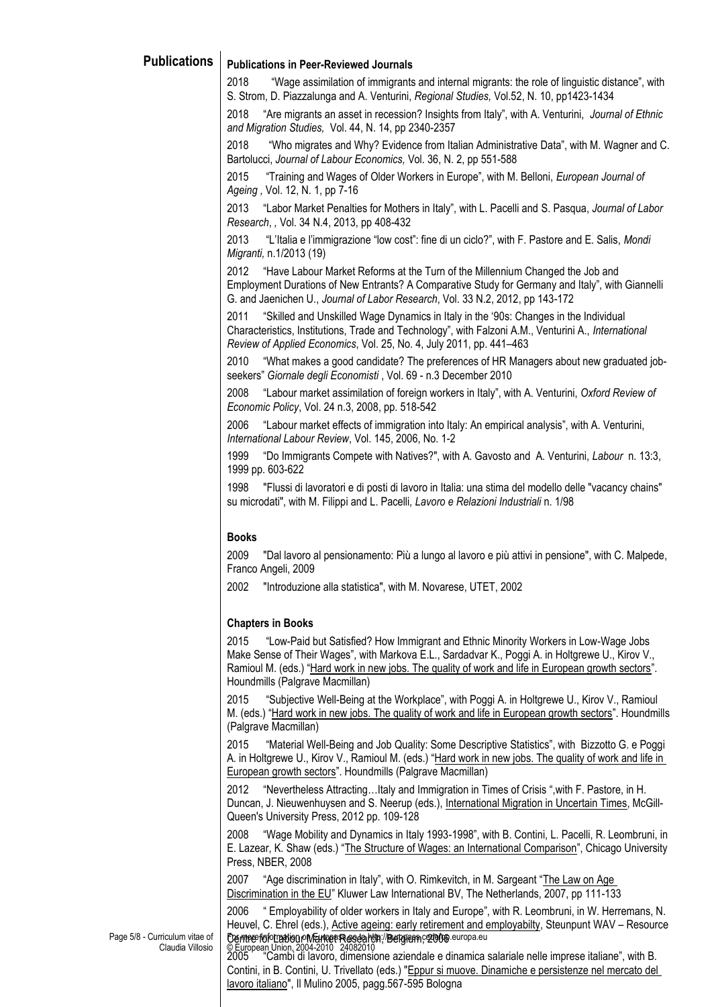# **Publications Publications in Peer-Reviewed Journals**

2018 "Wage assimilation of immigrants and internal migrants: the role of linguistic distance", with S. Strom, D. Piazzalunga and A. Venturini, *Regional Studies,* Vol.52, N. 10, pp1423-1434

2018 "Are migrants an asset in recession? Insights from Italy", with A. Venturini, *Journal of Ethnic and Migration Studies,* Vol. 44, N. 14, pp 2340-2357

2018 "Who migrates and Why? Evidence from Italian Administrative Data", with M. Wagner and C. Bartolucci, *Journal of Labour Economics,* Vol. 36, N. 2, pp 551-588

2015 "Training and Wages of Older Workers in Europe", with M. Belloni, *European Journal of Ageing ,* Vol. 12, N. 1, pp 7-16

2013 "Labor Market Penalties for Mothers in Italy", with L. Pacelli and S. Pasqua, *Journal of Labor Research*, *,* Vol. 34 N.4, 2013, pp 408-432

2013 "L'Italia e l'immigrazione "low cost": fine di un ciclo?", with F. Pastore and E. Salis, *Mondi Migranti,* n.1/2013 (19)

2012 "Have Labour Market Reforms at the Turn of the Millennium Changed the Job and Employment Durations of New Entrants? A Comparative Study for Germany and Italy", with Giannelli G. and Jaenichen U., *Journal of Labor Research*, Vol. 33 N.2, 2012, pp 143-172

2011 "Skilled and Unskilled Wage Dynamics in Italy in the '90s: Changes in the Individual Characteristics, Institutions, Trade and Technology", with Falzoni A.M., Venturini A., *International Review of Applied Economics*, Vol. 25, No. 4, July 2011, pp. 441–463

2010 "What makes a good candidate? The preferences of HR Managers about new graduated jobseekers" *Giornale degli Economisti* , Vol. 69 - n.3 December 2010

2008 "Labour market assimilation of foreign workers in Italy", with A. Venturini, *Oxford Review of Economic Policy*, Vol. 24 n.3, 2008, pp. 518-542

2006 "Labour market effects of immigration into Italy: An empirical analysis", with A. Venturini, *International Labour Review*, Vol. 145, 2006, No. 1-2

1999 "Do Immigrants Compete with Natives?", with A. Gavosto and A. Venturini, *Labour* n. 13:3, 1999 pp. 603-622

1998 "Flussi di lavoratori e di posti di lavoro in Italia: una stima del modello delle "vacancy chains" su microdati", with M. Filippi and L. Pacelli*, Lavoro e Relazioni Industriali* n. 1/98

## **Books**

2009 "Dal lavoro al pensionamento: Più a lungo al lavoro e più attivi in pensione", with C. Malpede, Franco Angeli, 2009

2002 "Introduzione alla statistica", with M. Novarese, UTET, 2002

## **Chapters in Books**

2015 "Low-Paid but Satisfied? How Immigrant and Ethnic Minority Workers in Low-Wage Jobs Make Sense of Their Wages", with Markova E.L., Sardadvar K., Poggi A. in Holtgrewe U., Kirov V., Ramioul M. (eds.) "Hard work in new jobs. The quality of work and life in European growth sectors". Houndmills (Palgrave Macmillan)

2015 "Subjective Well-Being at the Workplace", with Poggi A. in Holtgrewe U., Kirov V., Ramioul M. (eds.) "Hard work in new jobs. The quality of work and life in European growth sectors". Houndmills (Palgrave Macmillan)

2015 "Material Well-Being and Job Quality: Some Descriptive Statistics", with Bizzotto G. e Poggi A. in Holtgrewe U., Kirov V., Ramioul M. (eds.) "Hard work in new jobs. The quality of work and life in European growth sectors". Houndmills (Palgrave Macmillan)

2012 "Nevertheless Attracting…Italy and Immigration in Times of Crisis ",with F. Pastore, in H. Duncan, J. Nieuwenhuysen and S. Neerup (eds.), International Migration in Uncertain Times, McGill-Queen's University Press, 2012 pp. 109-128

2008 "Wage Mobility and Dynamics in Italy 1993-1998", with B. Contini, L. Pacelli, R. Leombruni, in E. Lazear, K. Shaw (eds.) "The Structure of Wages: an International Comparison", Chicago University Press, NBER, 2008

2007 "Age discrimination in Italy", with O. Rimkevitch, in M. Sargeant "The Law on Age Discrimination in the EU" Kluwer Law International BV, The Netherlands, 2007, pp 111-133

Cemtre for Labour Market Research, Belgium, 2006 europa.eu 2006 " Employability of older workers in Italy and Europe", with R. Leombruni, in W. Herremans, N. Heuvel, C. Ehrel (eds.), Active ageing: early retirement and employabilty, Steunpunt WAV – Resource

Page 5/8 - Curriculum vitae of Claudia Villosio

© European Union, 2004-2010 24082010 2005 "Cambi di lavoro, dimensione aziendale e dinamica salariale nelle imprese italiane", with B. Contini, in B. Contini, U. Trivellato (eds.) "Eppur si muove. Dinamiche e persistenze nel mercato del lavoro italiano", Il Mulino 2005, pagg.567-595 Bologna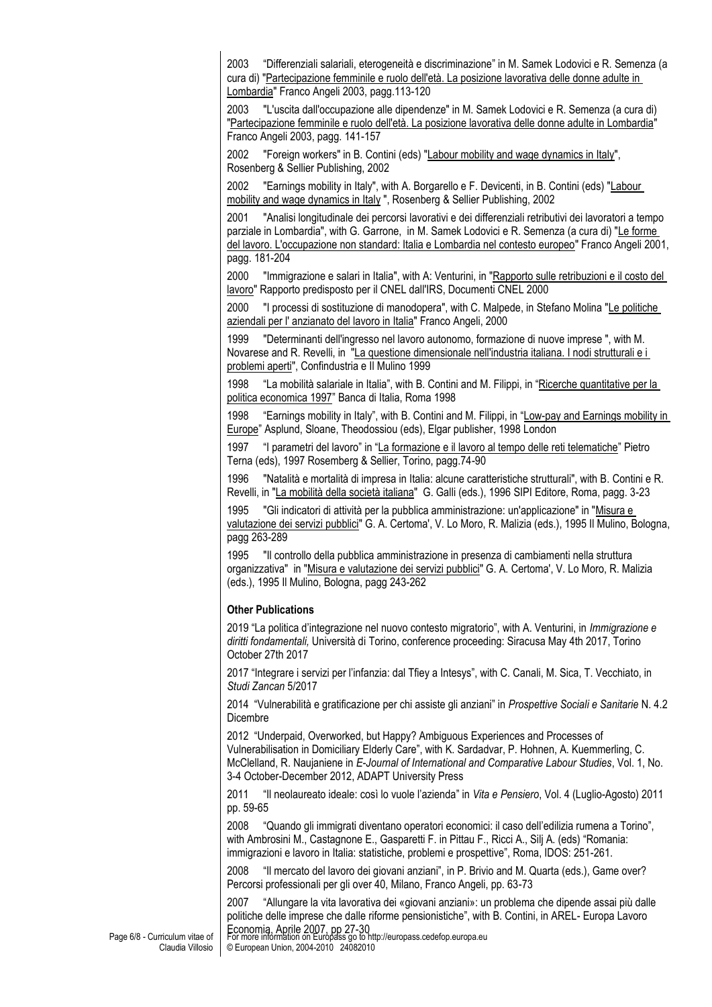2003 "Differenziali salariali, eterogeneità e discriminazione" in M. Samek Lodovici e R. Semenza (a cura di) "Partecipazione femminile e ruolo dell'età. La posizione lavorativa delle donne adulte in Lombardia" Franco Angeli 2003, pagg.113-120

2003 "L'uscita dall'occupazione alle dipendenze" in M. Samek Lodovici e R. Semenza (a cura di) "Partecipazione femminile e ruolo dell'età. La posizione lavorativa delle donne adulte in Lombardia" Franco Angeli 2003, pagg. 141-157

2002 "Foreign workers" in B. Contini (eds) "Labour mobility and wage dynamics in Italy", Rosenberg & Sellier Publishing, 2002

2002 "Earnings mobility in Italy", with A. Borgarello e F. Devicenti, in B. Contini (eds) "Labour mobility and wage dynamics in Italy ", Rosenberg & Sellier Publishing, 2002

2001 "Analisi longitudinale dei percorsi lavorativi e dei differenziali retributivi dei lavoratori a tempo parziale in Lombardia", with G. Garrone, in M. Samek Lodovici e R. Semenza (a cura di) "Le forme del lavoro. L'occupazione non standard: Italia e Lombardia nel contesto europeo" Franco Angeli 2001, pagg. 181-204

2000 "Immigrazione e salari in Italia", with A: Venturini, in "Rapporto sulle retribuzioni e il costo del lavoro" Rapporto predisposto per il CNEL dall'IRS, Documenti CNEL 2000

2000 "I processi di sostituzione di manodopera", with C. Malpede, in Stefano Molina "Le politiche aziendali per l' anzianato del lavoro in Italia" Franco Angeli, 2000

1999 "Determinanti dell'ingresso nel lavoro autonomo, formazione di nuove imprese ", with M. Novarese and R. Revelli, in "La questione dimensionale nell'industria italiana. I nodi strutturali e i problemi aperti", Confindustria e Il Mulino 1999

1998 "La mobilità salariale in Italia", with B. Contini and M. Filippi, in "Ricerche quantitative per la politica economica 1997" Banca di Italia, Roma 1998

1998 "Earnings mobility in Italy", with B. Contini and M. Filippi, in "Low-pay and Earnings mobility in Europe" Asplund, Sloane, Theodossiou (eds), Elgar publisher, 1998 London

1997 "I parametri del lavoro" in "La formazione e il lavoro al tempo delle reti telematiche" Pietro Terna (eds), 1997 Rosemberg & Sellier, Torino, pagg.74-90

1996 "Natalità e mortalità di impresa in Italia: alcune caratteristiche strutturali", with B. Contini e R. Revelli, in "La mobilità della società italiana" G. Galli (eds.), 1996 SIPI Editore, Roma, pagg. 3-23

1995 "Gli indicatori di attività per la pubblica amministrazione: un'applicazione" in "Misura e valutazione dei servizi pubblici" G. A. Certoma', V. Lo Moro, R. Malizia (eds.), 1995 Il Mulino, Bologna, pagg 263-289

1995 "Il controllo della pubblica amministrazione in presenza di cambiamenti nella struttura organizzativa" in "Misura e valutazione dei servizi pubblici" G. A. Certoma', V. Lo Moro, R. Malizia (eds.), 1995 Il Mulino, Bologna, pagg 243-262

## **Other Publications**

2019 "La politica d'integrazione nel nuovo contesto migratorio", with A. Venturini, in *Immigrazione e diritti fondamentali,* Università di Torino, conference proceeding: Siracusa May 4th 2017, Torino October 27th 2017

2017 "Integrare i servizi per l'infanzia: dal Tfiey a Intesys", with C. Canali, M. Sica, T. Vecchiato, in *Studi Zancan* 5/2017

2014 "Vulnerabilità e gratificazione per chi assiste gli anziani" in *Prospettive Sociali e Sanitarie* N. 4.2 Dicembre

2012 "Underpaid, Overworked, but Happy? Ambiguous Experiences and Processes of Vulnerabilisation in Domiciliary Elderly Care", with K. Sardadvar, P. Hohnen, A. Kuemmerling, C. McClelland, R. Naujaniene in *E-Journal of International and Comparative Labour Studies*, Vol. 1, No. 3-4 October-December 2012, ADAPT University Press

2011 "Il neolaureato ideale: così lo vuole l'azienda" in *Vita e Pensiero*, Vol. 4 (Luglio-Agosto) 2011 pp. 59-65

2008 "Quando gli immigrati diventano operatori economici: il caso dell'edilizia rumena a Torino", with Ambrosini M., Castagnone E., Gasparetti F. in Pittau F., Ricci A., Silj A. (eds) "Romania: immigrazioni e lavoro in Italia: statistiche, problemi e prospettive", Roma, IDOS: 251-261.

2008 "Il mercato del lavoro dei giovani anziani", in P. Brivio and M. Quarta (eds.), Game over? Percorsi professionali per gli over 40, Milano, Franco Angeli, pp. 63-73

2007 "Allungare la vita lavorativa dei «giovani anziani»: un problema che dipende assai più dalle politiche delle imprese che dalle riforme pensionistiche", with B. Contini, in AREL- Europa Lavoro

Economia, Aprile 2007, pp 27-30<br>For more information on Europass go to http://europass.cedefop.europa.eu © European Union, 2004-2010 24082010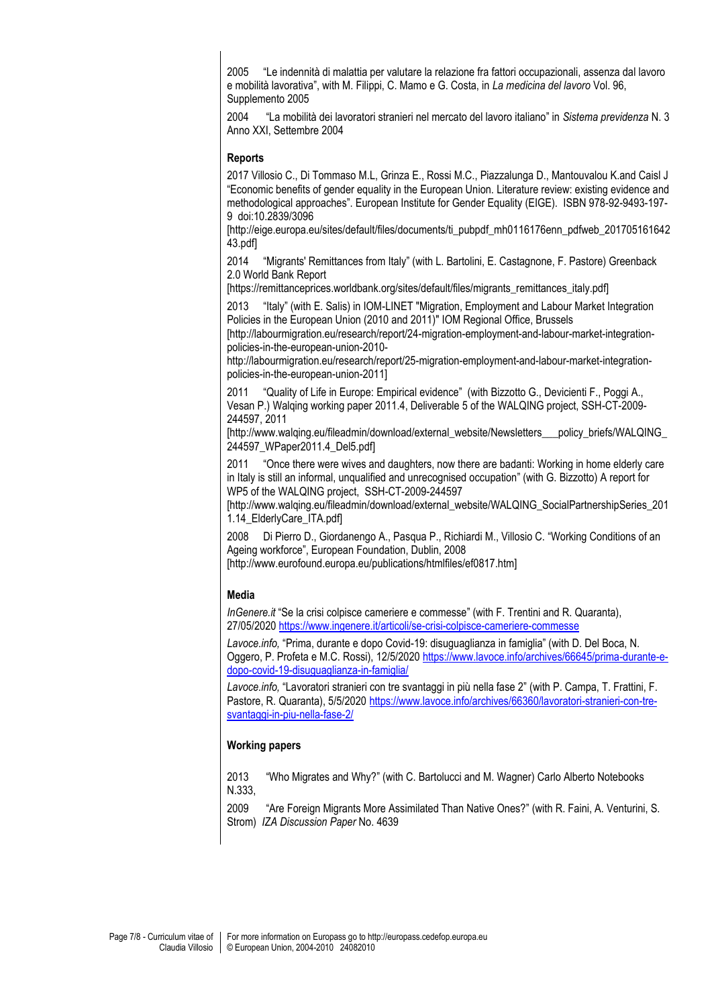2005 "Le indennità di malattia per valutare la relazione fra fattori occupazionali, assenza dal lavoro e mobilità lavorativa", with M. Filippi, C. Mamo e G. Costa, in *La medicina del lavoro* Vol. 96, Supplemento 2005

2004 "La mobilità dei lavoratori stranieri nel mercato del lavoro italiano" in *Sistema previdenza* N. 3 Anno XXI, Settembre 2004

#### **Reports**

2017 Villosio C., Di Tommaso M.L, Grinza E., Rossi M.C., Piazzalunga D., Mantouvalou K.and Caisl J "Economic benefits of gender equality in the European Union. Literature review: existing evidence and methodological approaches". European Institute for Gender Equality (EIGE). ISBN 978-92-9493-197- 9 doi:10.2839/3096

[http://eige.europa.eu/sites/default/files/documents/ti\_pubpdf\_mh0116176enn\_pdfweb\_201705161642 43.pdf]

2014 "Migrants' Remittances from Italy" (with L. Bartolini, E. Castagnone, F. Pastore) Greenback 2.0 World Bank Report

[https://remittanceprices.worldbank.org/sites/default/files/migrants\_remittances\_italy.pdf]

2013 "Italy" (with E. Salis) in IOM-LINET "Migration, Employment and Labour Market Integration Policies in the European Union (2010 and 2011)" IOM Regional Office, Brussels

[http://labourmigration.eu/research/report/24-migration-employment-and-labour-market-integrationpolicies-in-the-european-union-2010-

http://labourmigration.eu/research/report/25-migration-employment-and-labour-market-integrationpolicies-in-the-european-union-2011]

2011 "Quality of Life in Europe: Empirical evidence" (with Bizzotto G., Devicienti F., Poggi A., Vesan P.) Walqing working paper 2011.4, Deliverable 5 of the WALQING project, SSH-CT-2009- 244597, 2011

[http://www.walqing.eu/fileadmin/download/external\_website/Newsletters\_\_\_policy\_briefs/WALQING\_ 244597\_WPaper2011.4\_Del5.pdf]

2011 "Once there were wives and daughters, now there are badanti: Working in home elderly care in Italy is still an informal, unqualified and unrecognised occupation" (with G. Bizzotto) A report for WP5 of the WALQING project, SSH-CT-2009-244597

[http://www.walqing.eu/fileadmin/download/external\_website/WALQING\_SocialPartnershipSeries\_201 1.14 ElderlyCare ITA.pdf

2008 Di Pierro D., Giordanengo A., Pasqua P., Richiardi M., Villosio C. "Working Conditions of an Ageing workforce", European Foundation, Dublin, 2008

[http://www.eurofound.europa.eu/publications/htmlfiles/ef0817.htm]

## **Media**

*InGenere.it* "Se la crisi colpisce cameriere e commesse" (with F. Trentini and R. Quaranta), 27/05/2020<https://www.ingenere.it/articoli/se-crisi-colpisce-cameriere-commesse>

*Lavoce.info,* "Prima, durante e dopo Covid-19: disuguaglianza in famiglia" (with D. Del Boca, N. Oggero, P. Profeta e M.C. Rossi), 12/5/202[0 https://www.lavoce.info/archives/66645/prima-durante-e](https://www.lavoce.info/archives/66645/prima-durante-e-dopo-covid-19-disuguaglianza-in-famiglia/)[dopo-covid-19-disuguaglianza-in-famiglia/](https://www.lavoce.info/archives/66645/prima-durante-e-dopo-covid-19-disuguaglianza-in-famiglia/)

*Lavoce.info,* "Lavoratori stranieri con tre svantaggi in più nella fase 2" (with P. Campa, T. Frattini, F. Pastore, R. Quaranta), 5/5/2020 [https://www.lavoce.info/archives/66360/lavoratori-stranieri-con-tre](https://www.lavoce.info/archives/66360/lavoratori-stranieri-con-tre-svantaggi-in-piu-nella-fase-2/)[svantaggi-in-piu-nella-fase-2/](https://www.lavoce.info/archives/66360/lavoratori-stranieri-con-tre-svantaggi-in-piu-nella-fase-2/)

## **Working papers**

2013 "Who Migrates and Why?" (with C. Bartolucci and M. Wagner) Carlo Alberto Notebooks N.333,

2009 "Are Foreign Migrants More Assimilated Than Native Ones?" (with R. Faini, A. Venturini, S. Strom) *IZA Discussion Paper* No. 4639